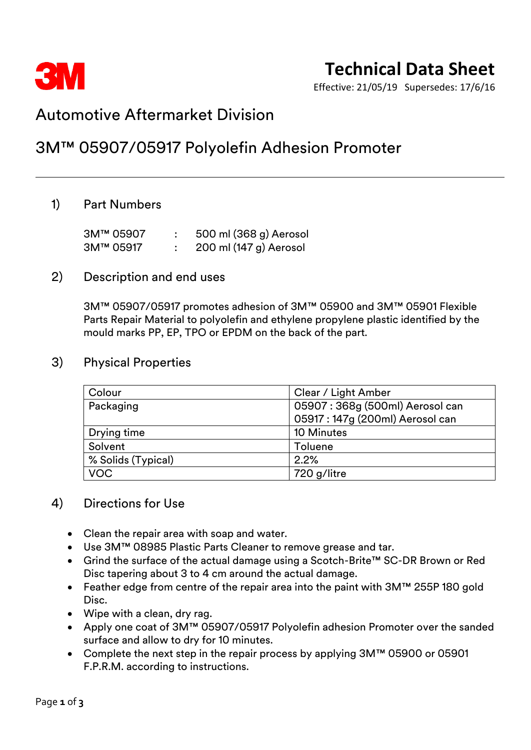

Effective: 21/05/19 Supersedes: 17/6/16

# Automotive Aftermarket Division

# 3M™ 05907/05917 Polyolefin Adhesion Promoter

## 1) Part Numbers

| 3M™ 05907 | 500 ml (368 g) Aerosol |
|-----------|------------------------|
| 3M™ 05917 | 200 ml (147 g) Aerosol |

### 2) Description and end uses

3M™ 05907/05917 promotes adhesion of 3M™ 05900 and 3M™ 05901 Flexible Parts Repair Material to polyolefin and ethylene propylene plastic identified by the mould marks PP, EP, TPO or EPDM on the back of the part.

### 3) Physical Properties

| Colour             | Clear / Light Amber             |  |
|--------------------|---------------------------------|--|
| Packaging          | 05907: 368g (500ml) Aerosol can |  |
|                    | 05917: 147g (200ml) Aerosol can |  |
| Drying time        | 10 Minutes                      |  |
| Solvent            | <b>Toluene</b>                  |  |
| % Solids (Typical) | 2.2%                            |  |
| <b>VOC</b>         | 720 g/litre                     |  |

## 4) Directions for Use

- Clean the repair area with soap and water.
- Use 3M™ 08985 Plastic Parts Cleaner to remove grease and tar.
- Grind the surface of the actual damage using a Scotch-Brite™ SC-DR Brown or Red Disc tapering about 3 to 4 cm around the actual damage.
- Feather edge from centre of the repair area into the paint with 3M™ 255P 180 gold Disc.
- Wipe with a clean, dry rag.
- Apply one coat of 3M™ 05907/05917 Polyolefin adhesion Promoter over the sanded surface and allow to dry for 10 minutes.
- Complete the next step in the repair process by applying 3M™ 05900 or 05901 F.P.R.M. according to instructions.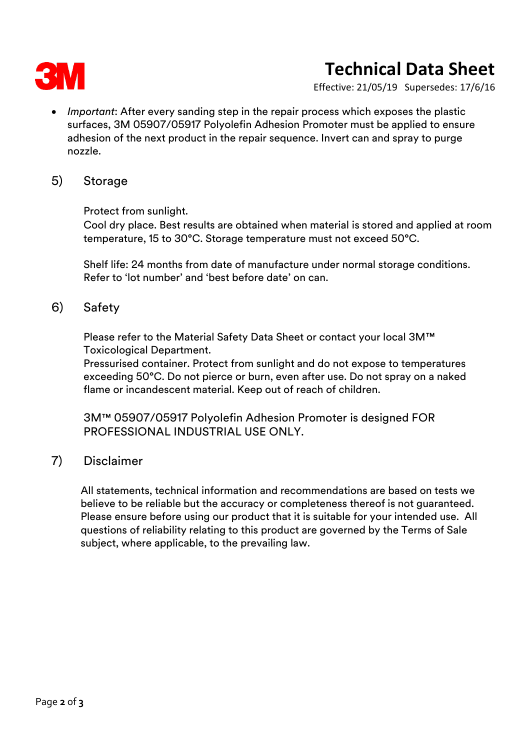

# **Technical Data Sheet**

Effective: 21/05/19 Supersedes: 17/6/16

• *Important*: After every sanding step in the repair process which exposes the plastic surfaces, 3M 05907/05917 Polyolefin Adhesion Promoter must be applied to ensure adhesion of the next product in the repair sequence. Invert can and spray to purge nozzle.

### 5) Storage

Protect from sunlight.

Cool dry place. Best results are obtained when material is stored and applied at room temperature, 15 to 30°C. Storage temperature must not exceed 50°C.

Shelf life: 24 months from date of manufacture under normal storage conditions. Refer to 'lot number' and 'best before date' on can.

### 6) Safety

Please refer to the Material Safety Data Sheet or contact your local 3M™ Toxicological Department.

Pressurised container. Protect from sunlight and do not expose to temperatures exceeding 50°C. Do not pierce or burn, even after use. Do not spray on a naked flame or incandescent material. Keep out of reach of children.

3M™ 05907/05917 Polyolefin Adhesion Promoter is designed FOR PROFESSIONAL INDUSTRIAL USE ONLY.

### 7) Disclaimer

All statements, technical information and recommendations are based on tests we believe to be reliable but the accuracy or completeness thereof is not guaranteed. Please ensure before using our product that it is suitable for your intended use. All questions of reliability relating to this product are governed by the Terms of Sale subject, where applicable, to the prevailing law.